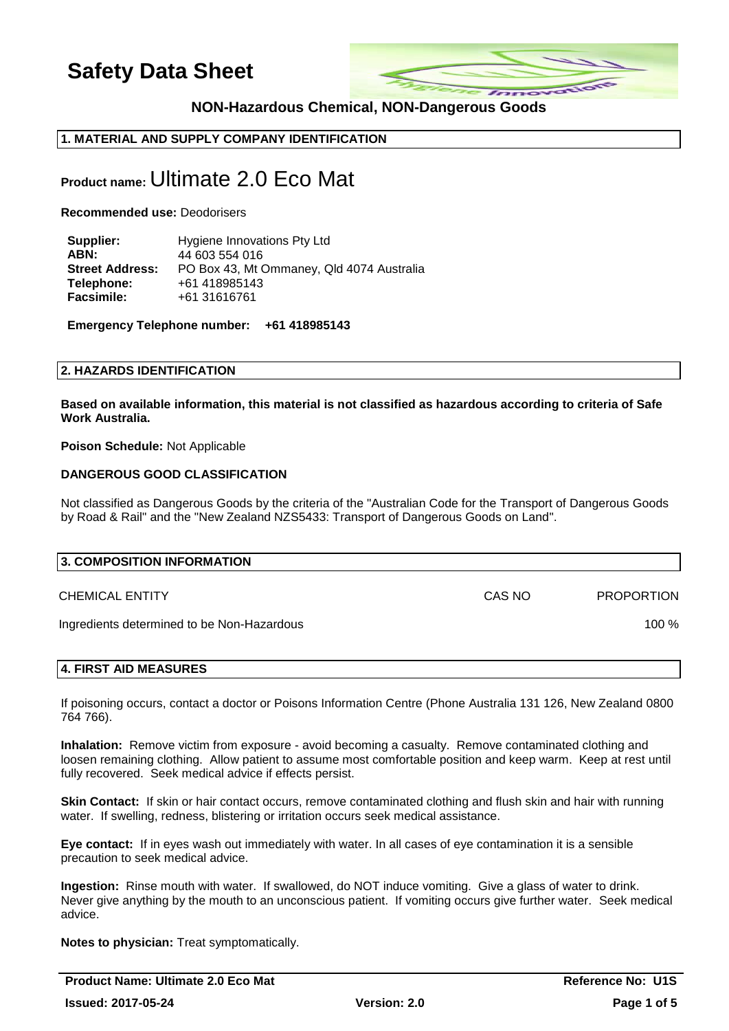

## **NON-Hazardous Chemical, NON-Dangerous Goods**

## **1. MATERIAL AND SUPPLY COMPANY IDENTIFICATION**

## **Product name:** Ultimate 2.0 Eco Mat

**Recommended use:** Deodorisers

| Supplier:              | Hygiene Innovations Pty Ltd               |
|------------------------|-------------------------------------------|
| ABN:                   | 44 603 554 016                            |
| <b>Street Address:</b> | PO Box 43, Mt Ommaney, Qld 4074 Australia |
| Telephone:             | +61 418985143                             |
| <b>Facsimile:</b>      | +61 31616761                              |

**Emergency Telephone number: +61 418985143** 

#### **2. HAZARDS IDENTIFICATION**

**Based on available information, this material is not classified as hazardous according to criteria of Safe Work Australia.**

**Poison Schedule:** Not Applicable

#### **DANGEROUS GOOD CLASSIFICATION**

Not classified as Dangerous Goods by the criteria of the "Australian Code for the Transport of Dangerous Goods by Road & Rail" and the "New Zealand NZS5433: Transport of Dangerous Goods on Land".

| 3. COMPOSITION INFORMATION                 |        |                   |
|--------------------------------------------|--------|-------------------|
| <b>CHEMICAL ENTITY</b>                     | CAS NO | <b>PROPORTION</b> |
| Ingredients determined to be Non-Hazardous |        | $100\%$           |
|                                            |        |                   |

#### **4. FIRST AID MEASURES**

If poisoning occurs, contact a doctor or Poisons Information Centre (Phone Australia 131 126, New Zealand 0800 764 766).

**Inhalation:** Remove victim from exposure - avoid becoming a casualty. Remove contaminated clothing and loosen remaining clothing. Allow patient to assume most comfortable position and keep warm. Keep at rest until fully recovered. Seek medical advice if effects persist.

**Skin Contact:** If skin or hair contact occurs, remove contaminated clothing and flush skin and hair with running water. If swelling, redness, blistering or irritation occurs seek medical assistance.

**Eye contact:** If in eyes wash out immediately with water. In all cases of eye contamination it is a sensible precaution to seek medical advice.

**Ingestion:** Rinse mouth with water. If swallowed, do NOT induce vomiting. Give a glass of water to drink. Never give anything by the mouth to an unconscious patient. If vomiting occurs give further water. Seek medical advice.

**Notes to physician:** Treat symptomatically.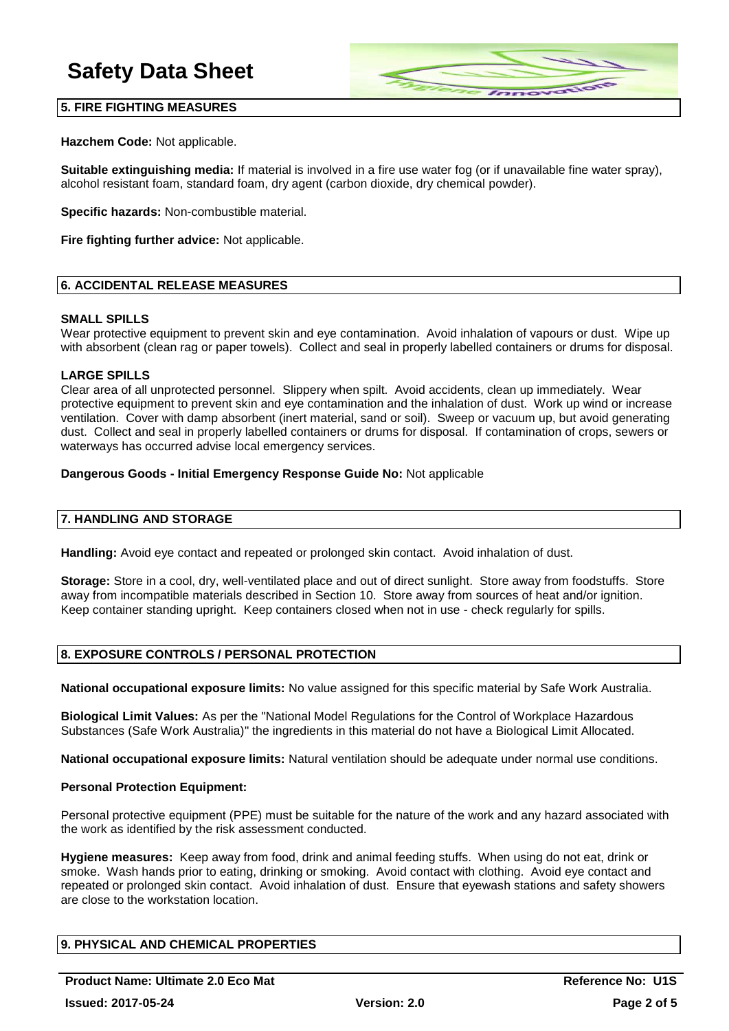

### **5. FIRE FIGHTING MEASURES**

**Hazchem Code:** Not applicable.

**Suitable extinguishing media:** If material is involved in a fire use water fog (or if unavailable fine water spray), alcohol resistant foam, standard foam, dry agent (carbon dioxide, dry chemical powder).

**Specific hazards:** Non-combustible material.

**Fire fighting further advice:** Not applicable.

#### **6. ACCIDENTAL RELEASE MEASURES**

#### **SMALL SPILLS**

Wear protective equipment to prevent skin and eye contamination. Avoid inhalation of vapours or dust. Wipe up with absorbent (clean rag or paper towels). Collect and seal in properly labelled containers or drums for disposal.

#### **LARGE SPILLS**

Clear area of all unprotected personnel. Slippery when spilt. Avoid accidents, clean up immediately. Wear protective equipment to prevent skin and eye contamination and the inhalation of dust. Work up wind or increase ventilation. Cover with damp absorbent (inert material, sand or soil). Sweep or vacuum up, but avoid generating dust. Collect and seal in properly labelled containers or drums for disposal. If contamination of crops, sewers or waterways has occurred advise local emergency services.

#### **Dangerous Goods - Initial Emergency Response Guide No:** Not applicable

#### **7. HANDLING AND STORAGE**

**Handling:** Avoid eye contact and repeated or prolonged skin contact. Avoid inhalation of dust.

**Storage:** Store in a cool, dry, well-ventilated place and out of direct sunlight. Store away from foodstuffs. Store away from incompatible materials described in Section 10. Store away from sources of heat and/or ignition. Keep container standing upright. Keep containers closed when not in use - check regularly for spills.

#### **8. EXPOSURE CONTROLS / PERSONAL PROTECTION**

**National occupational exposure limits:** No value assigned for this specific material by Safe Work Australia.

**Biological Limit Values:** As per the "National Model Regulations for the Control of Workplace Hazardous Substances (Safe Work Australia)" the ingredients in this material do not have a Biological Limit Allocated.

**National occupational exposure limits:** Natural ventilation should be adequate under normal use conditions.

#### **Personal Protection Equipment:**

Personal protective equipment (PPE) must be suitable for the nature of the work and any hazard associated with the work as identified by the risk assessment conducted.

**Hygiene measures:** Keep away from food, drink and animal feeding stuffs. When using do not eat, drink or smoke. Wash hands prior to eating, drinking or smoking. Avoid contact with clothing. Avoid eye contact and repeated or prolonged skin contact. Avoid inhalation of dust. Ensure that eyewash stations and safety showers are close to the workstation location.

#### **9. PHYSICAL AND CHEMICAL PROPERTIES**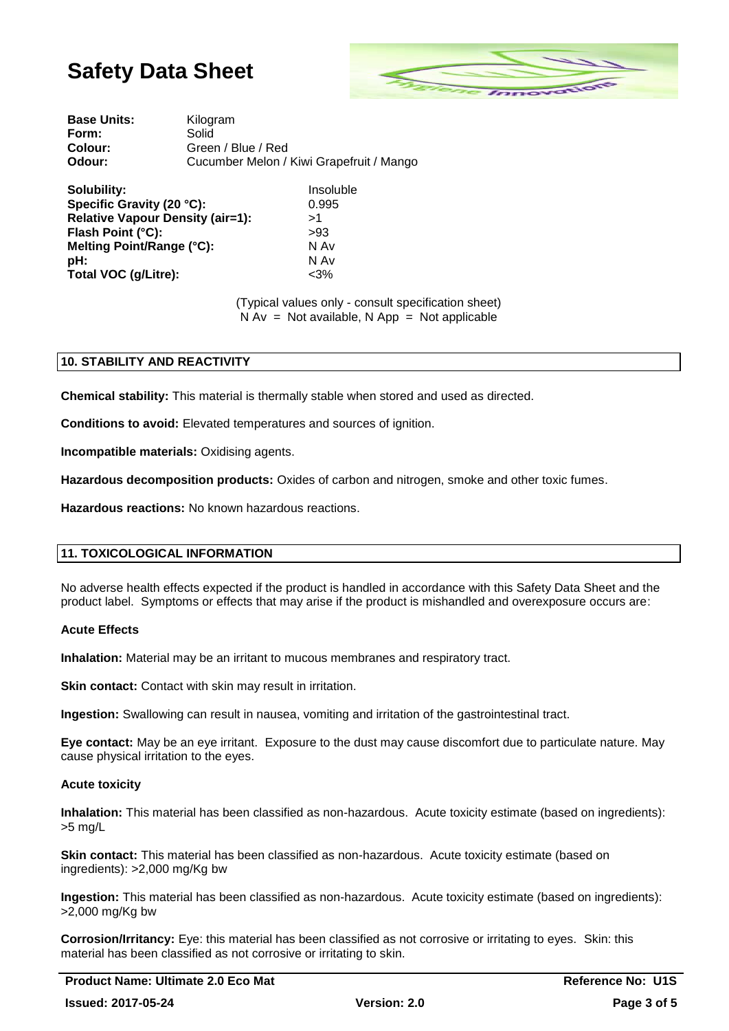

| <b>Base Units:</b> | Kilogram                                 |
|--------------------|------------------------------------------|
| Form:              | Solid                                    |
| <b>Colour:</b>     | Green / Blue / Red                       |
| Odour:             | Cucumber Melon / Kiwi Grapefruit / Mango |

| Solubility:                             | Insoluble |
|-----------------------------------------|-----------|
| Specific Gravity (20 °C):               | 0.995     |
| <b>Relative Vapour Density (air=1):</b> | >1        |
| Flash Point (°C):                       | >93       |
| Melting Point/Range (°C):               | N Av      |
| pH:                                     | N Av      |
| Total VOC (g/Litre):                    | $<3\%$    |

(Typical values only - consult specification sheet)  $N Av = Not available, N App = Not applicable$ 

## **10. STABILITY AND REACTIVITY**

**Chemical stability:** This material is thermally stable when stored and used as directed.

**Conditions to avoid:** Elevated temperatures and sources of ignition.

**Incompatible materials:** Oxidising agents.

**Hazardous decomposition products:** Oxides of carbon and nitrogen, smoke and other toxic fumes.

**Hazardous reactions:** No known hazardous reactions.

#### **11. TOXICOLOGICAL INFORMATION**

No adverse health effects expected if the product is handled in accordance with this Safety Data Sheet and the product label. Symptoms or effects that may arise if the product is mishandled and overexposure occurs are:

#### **Acute Effects**

**Inhalation:** Material may be an irritant to mucous membranes and respiratory tract.

**Skin contact:** Contact with skin may result in irritation.

**Ingestion:** Swallowing can result in nausea, vomiting and irritation of the gastrointestinal tract.

**Eye contact:** May be an eye irritant. Exposure to the dust may cause discomfort due to particulate nature. May cause physical irritation to the eyes.

#### **Acute toxicity**

**Inhalation:** This material has been classified as non-hazardous. Acute toxicity estimate (based on ingredients): >5 mg/L

**Skin contact:** This material has been classified as non-hazardous. Acute toxicity estimate (based on ingredients): >2,000 mg/Kg bw

**Ingestion:** This material has been classified as non-hazardous. Acute toxicity estimate (based on ingredients): >2,000 mg/Kg bw

**Corrosion/Irritancy:** Eye: this material has been classified as not corrosive or irritating to eyes. Skin: this material has been classified as not corrosive or irritating to skin.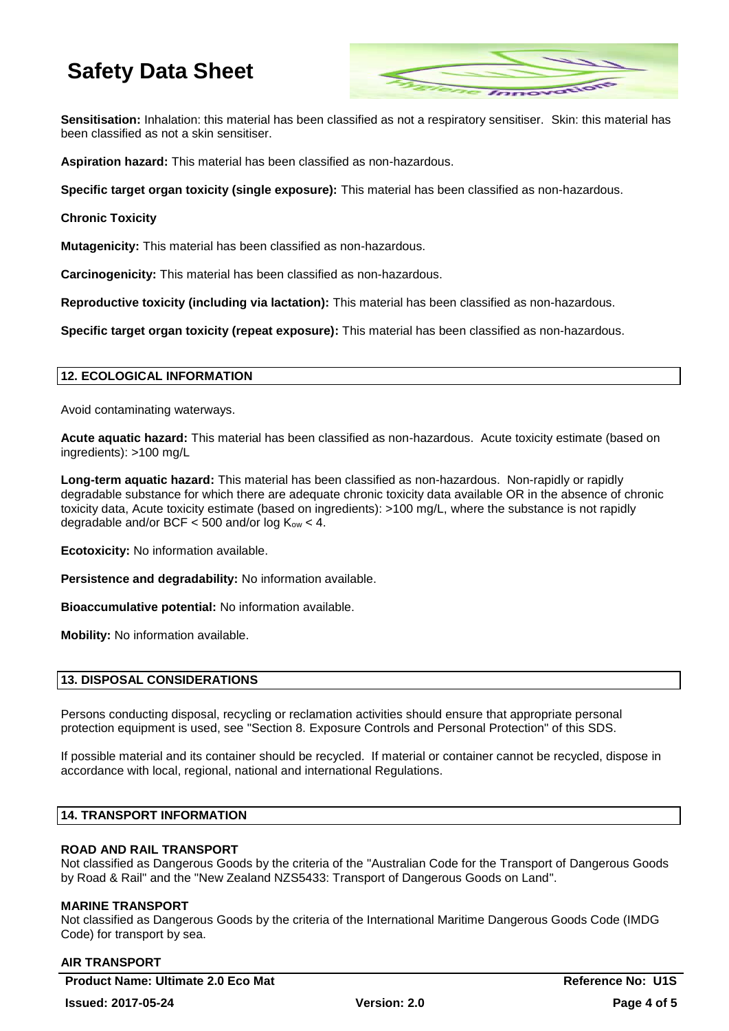

**Sensitisation:** Inhalation: this material has been classified as not a respiratory sensitiser. Skin: this material has been classified as not a skin sensitiser.

**Aspiration hazard:** This material has been classified as non-hazardous.

**Specific target organ toxicity (single exposure):** This material has been classified as non-hazardous.

#### **Chronic Toxicity**

**Mutagenicity:** This material has been classified as non-hazardous.

**Carcinogenicity:** This material has been classified as non-hazardous.

**Reproductive toxicity (including via lactation):** This material has been classified as non-hazardous.

**Specific target organ toxicity (repeat exposure):** This material has been classified as non-hazardous.

### **12. ECOLOGICAL INFORMATION**

Avoid contaminating waterways.

**Acute aquatic hazard:** This material has been classified as non-hazardous. Acute toxicity estimate (based on ingredients): >100 mg/L

**Long-term aquatic hazard:** This material has been classified as non-hazardous. Non-rapidly or rapidly degradable substance for which there are adequate chronic toxicity data available OR in the absence of chronic toxicity data, Acute toxicity estimate (based on ingredients): >100 mg/L, where the substance is not rapidly degradable and/or BCF  $<$  500 and/or log  $K_{ow}$  < 4.

**Ecotoxicity:** No information available.

**Persistence and degradability:** No information available.

**Bioaccumulative potential:** No information available.

**Mobility:** No information available.

#### **13. DISPOSAL CONSIDERATIONS**

Persons conducting disposal, recycling or reclamation activities should ensure that appropriate personal protection equipment is used, see "Section 8. Exposure Controls and Personal Protection" of this SDS.

If possible material and its container should be recycled. If material or container cannot be recycled, dispose in accordance with local, regional, national and international Regulations.

## **14. TRANSPORT INFORMATION**

#### **ROAD AND RAIL TRANSPORT**

Not classified as Dangerous Goods by the criteria of the "Australian Code for the Transport of Dangerous Goods by Road & Rail" and the "New Zealand NZS5433: Transport of Dangerous Goods on Land".

#### **MARINE TRANSPORT**

Not classified as Dangerous Goods by the criteria of the International Maritime Dangerous Goods Code (IMDG Code) for transport by sea.

#### **AIR TRANSPORT**

**Product Name: Ultimate 2.0 Eco Mat Reference No: U1S Reference No: U1S**